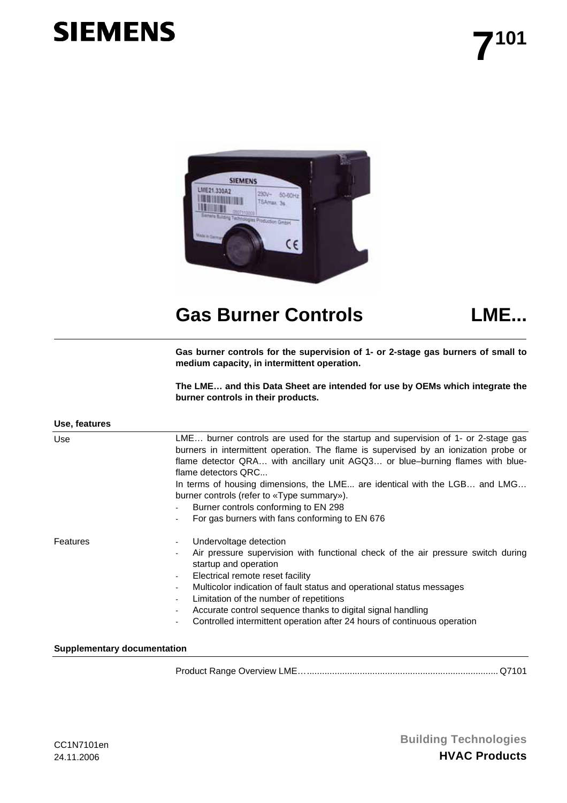# **SIEMENS**



# Gas Burner Controls **LME...**



**Gas burner controls for the supervision of 1- or 2-stage gas burners of small to medium capacity, in intermittent operation.** 

**The LME… and this Data Sheet are intended for use by OEMs which integrate the burner controls in their products.** 

| Use, features |                                                                                                                                                                                                                                                                                                                                                                                                                                                                                                                           |  |  |  |  |  |  |  |
|---------------|---------------------------------------------------------------------------------------------------------------------------------------------------------------------------------------------------------------------------------------------------------------------------------------------------------------------------------------------------------------------------------------------------------------------------------------------------------------------------------------------------------------------------|--|--|--|--|--|--|--|
| Use           | LME burner controls are used for the startup and supervision of 1- or 2-stage gas<br>burners in intermittent operation. The flame is supervised by an ionization probe or<br>flame detector QRA with ancillary unit AGQ3 or blue-burning flames with blue-<br>flame detectors QRC<br>In terms of housing dimensions, the LME are identical with the LGB and LMG<br>burner controls (refer to «Type summary»).<br>Burner controls conforming to EN 298<br>For gas burners with fans conforming to EN 676<br>$\blacksquare$ |  |  |  |  |  |  |  |
| Features      | Undervoltage detection<br>$\blacksquare$<br>Air pressure supervision with functional check of the air pressure switch during<br>startup and operation<br>Electrical remote reset facility<br>$\blacksquare$<br>Multicolor indication of fault status and operational status messages<br>$\blacksquare$<br>Limitation of the number of repetitions<br>Accurate control sequence thanks to digital signal handling<br>Controlled intermittent operation after 24 hours of continuous operation                              |  |  |  |  |  |  |  |

**Supplementary documentation** 

Product Range Overview LME…............................................................................ Q7101

**Building Technologies HVAC Products**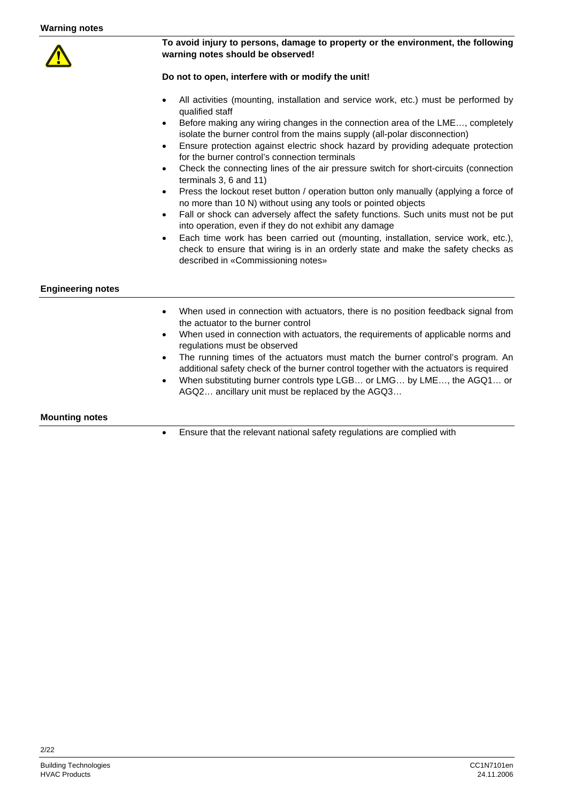

#### **To avoid injury to persons, damage to property or the environment, the following warning notes should be observed!**

#### **Do not to open, interfere with or modify the unit!**

- All activities (mounting, installation and service work, etc.) must be performed by qualified staff
- Before making any wiring changes in the connection area of the LME..., completely isolate the burner control from the mains supply (all-polar disconnection)
- Ensure protection against electric shock hazard by providing adequate protection for the burner control's connection terminals
- Check the connecting lines of the air pressure switch for short-circuits (connection terminals 3, 6 and 11)
- Press the lockout reset button / operation button only manually (applying a force of no more than 10 N) without using any tools or pointed objects
- Fall or shock can adversely affect the safety functions. Such units must not be put into operation, even if they do not exhibit any damage
- Each time work has been carried out (mounting, installation, service work, etc.), check to ensure that wiring is in an orderly state and make the safety checks as described in «Commissioning notes»

#### **Engineering notes**

- When used in connection with actuators, there is no position feedback signal from the actuator to the burner control
- When used in connection with actuators, the requirements of applicable norms and regulations must be observed
- The running times of the actuators must match the burner control's program. An additional safety check of the burner control together with the actuators is required
- When substituting burner controls type LGB… or LMG… by LME…, the AGQ1… or AGQ2… ancillary unit must be replaced by the AGQ3…

**Mounting notes** 

• Ensure that the relevant national safety regulations are complied with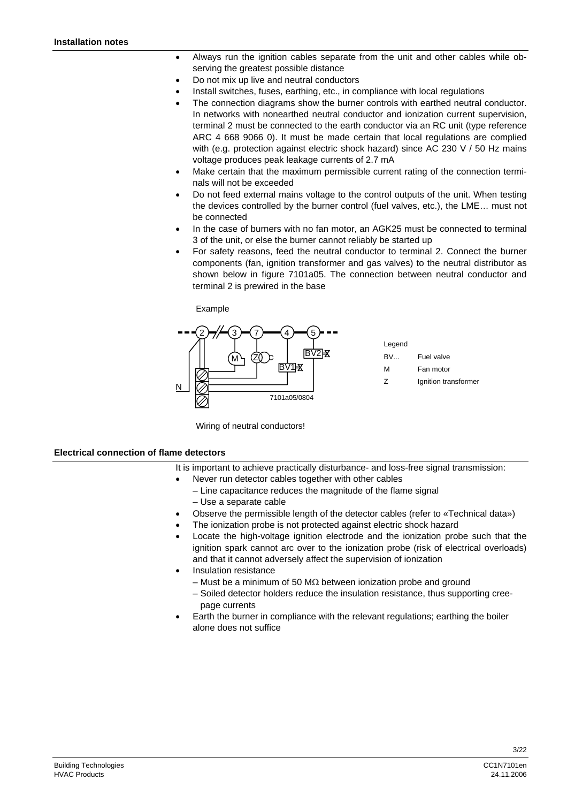- Always run the ignition cables separate from the unit and other cables while observing the greatest possible distance
- Do not mix up live and neutral conductors
- Install switches, fuses, earthing, etc., in compliance with local regulations
- The connection diagrams show the burner controls with earthed neutral conductor. In networks with nonearthed neutral conductor and ionization current supervision, terminal 2 must be connected to the earth conductor via an RC unit (type reference ARC 4 668 9066 0). It must be made certain that local regulations are complied with (e.g. protection against electric shock hazard) since AC 230 V / 50 Hz mains voltage produces peak leakage currents of 2.7 mA
- Make certain that the maximum permissible current rating of the connection terminals will not be exceeded
- Do not feed external mains voltage to the control outputs of the unit. When testing the devices controlled by the burner control (fuel valves, etc.), the LME… must not be connected
- In the case of burners with no fan motor, an AGK25 must be connected to terminal 3 of the unit, or else the burner cannot reliably be started up
- For safety reasons, feed the neutral conductor to terminal 2. Connect the burner components (fan, ignition transformer and gas valves) to the neutral distributor as shown below in figure 7101a05. The connection between neutral conductor and terminal 2 is prewired in the base



Wiring of neutral conductors!

#### **Electrical connection of flame detectors**

- It is important to achieve practically disturbance- and loss-free signal transmission:
	- Never run detector cables together with other cables
		- Line capacitance reduces the magnitude of the flame signal – Use a separate cable
- Observe the permissible length of the detector cables (refer to «Technical data»)
- The ionization probe is not protected against electric shock hazard
- Locate the high-voltage ignition electrode and the ionization probe such that the ignition spark cannot arc over to the ionization probe (risk of electrical overloads) and that it cannot adversely affect the supervision of ionization
- Insulation resistance
	- Must be a minimum of 50 M $\Omega$  between ionization probe and ground
	- Soiled detector holders reduce the insulation resistance, thus supporting cree page currents
- Earth the burner in compliance with the relevant regulations; earthing the boiler alone does not suffice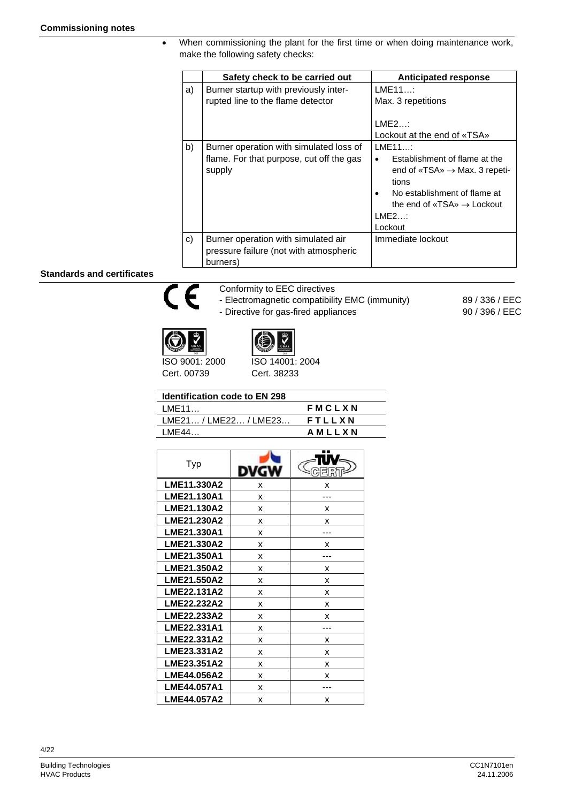• When commissioning the plant for the first time or when doing maintenance work, make the following safety checks:

|    | Safety check to be carried out                                                                | <b>Anticipated response</b>                                                                                                                                                                            |
|----|-----------------------------------------------------------------------------------------------|--------------------------------------------------------------------------------------------------------------------------------------------------------------------------------------------------------|
| a) | Burner startup with previously inter-<br>rupted line to the flame detector                    | LME11<br>Max. 3 repetitions<br>LME2<br>Lockout at the end of «TSA»                                                                                                                                     |
| b) | Burner operation with simulated loss of<br>flame. For that purpose, cut off the gas<br>supply | LME11<br>Establishment of flame at the<br>$\bullet$<br>end of «TSA» $\rightarrow$ Max. 3 repeti-<br>tions<br>No establishment of flame at<br>the end of «TSA» $\rightarrow$ Lockout<br>LME2<br>Lockout |
| C) | Burner operation with simulated air<br>pressure failure (not with atmospheric<br>burners)     | Immediate lockout                                                                                                                                                                                      |

#### **Standards and certificates**



Conformity to EEC directives - Electromagnetic compatibility EMC (immunity)

- Directive for gas-fired appliances

89 / 336 / EEC 90 / 396 / EEC

ISO 9001: 2000 Cert. 00739



Cert. 38233

| <b>Identification code to EN 298</b> |  |
|--------------------------------------|--|
| <b>IME11</b>                         |  |

| LME11                            | <b>FMCLXN</b> |
|----------------------------------|---------------|
| $LME21 / LME22 / LME23$ $FTLLXN$ |               |
| LME44                            | AMLLXN        |

| Typ                |   |   |
|--------------------|---|---|
| <b>LME11.330A2</b> | x | x |
| LME21.130A1        | x |   |
| LME21.130A2        | x | x |
| LME21.230A2        | x | x |
| LME21.330A1        | x |   |
| LME21.330A2        | x | x |
| LME21.350A1        | x |   |
| LME21.350A2        | x | x |
| LME21.550A2        | x | x |
| <b>LME22.131A2</b> | x | x |
| LME22.232A2        | x | x |
| LME22.233A2        | x | x |
| LME22.331A1        | x |   |
| LME22.331A2        | х | x |
| LME23.331A2        | x | x |
| <b>LME23.351A2</b> | x | x |
| <b>LME44.056A2</b> | x | x |
| LME44.057A1        | x |   |
| <b>LME44.057A2</b> | x | x |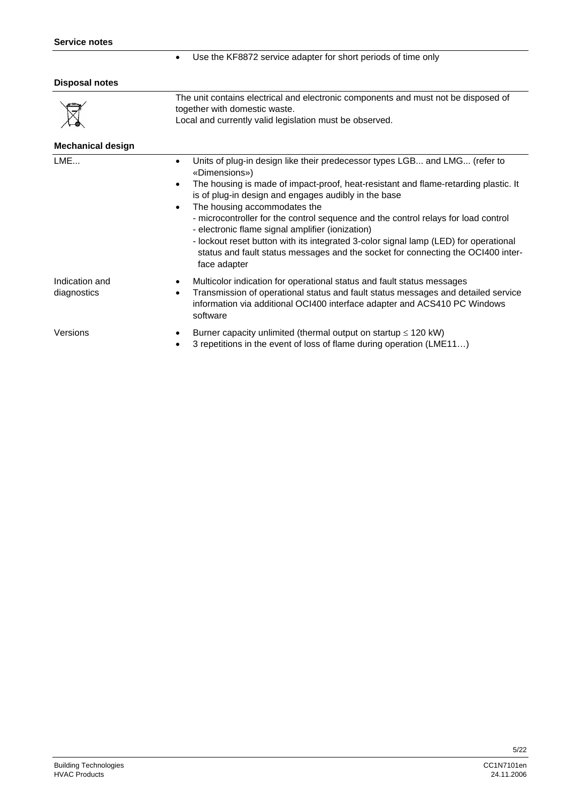• Use the KF8872 service adapter for short periods of time only

| <b>Disposal notes</b>         |                                                                                                                                                                                                                                                                                                                                                                                                                                                                                                                                                                                                                       |  |  |  |  |  |
|-------------------------------|-----------------------------------------------------------------------------------------------------------------------------------------------------------------------------------------------------------------------------------------------------------------------------------------------------------------------------------------------------------------------------------------------------------------------------------------------------------------------------------------------------------------------------------------------------------------------------------------------------------------------|--|--|--|--|--|
|                               | The unit contains electrical and electronic components and must not be disposed of<br>together with domestic waste.<br>Local and currently valid legislation must be observed.                                                                                                                                                                                                                                                                                                                                                                                                                                        |  |  |  |  |  |
| <b>Mechanical design</b>      |                                                                                                                                                                                                                                                                                                                                                                                                                                                                                                                                                                                                                       |  |  |  |  |  |
| LME                           | Units of plug-in design like their predecessor types LGB and LMG (refer to<br>٠<br>«Dimensions»)<br>The housing is made of impact-proof, heat-resistant and flame-retarding plastic. It<br>is of plug-in design and engages audibly in the base<br>The housing accommodates the<br>- microcontroller for the control sequence and the control relays for load control<br>- electronic flame signal amplifier (ionization)<br>- lockout reset button with its integrated 3-color signal lamp (LED) for operational<br>status and fault status messages and the socket for connecting the OCI400 inter-<br>face adapter |  |  |  |  |  |
| Indication and<br>diagnostics | Multicolor indication for operational status and fault status messages<br>Transmission of operational status and fault status messages and detailed service<br>information via additional OCI400 interface adapter and ACS410 PC Windows<br>software                                                                                                                                                                                                                                                                                                                                                                  |  |  |  |  |  |
| Versions                      | Burner capacity unlimited (thermal output on startup $\leq 120$ kW)<br>3 repetitions in the event of loss of flame during operation (LME11)                                                                                                                                                                                                                                                                                                                                                                                                                                                                           |  |  |  |  |  |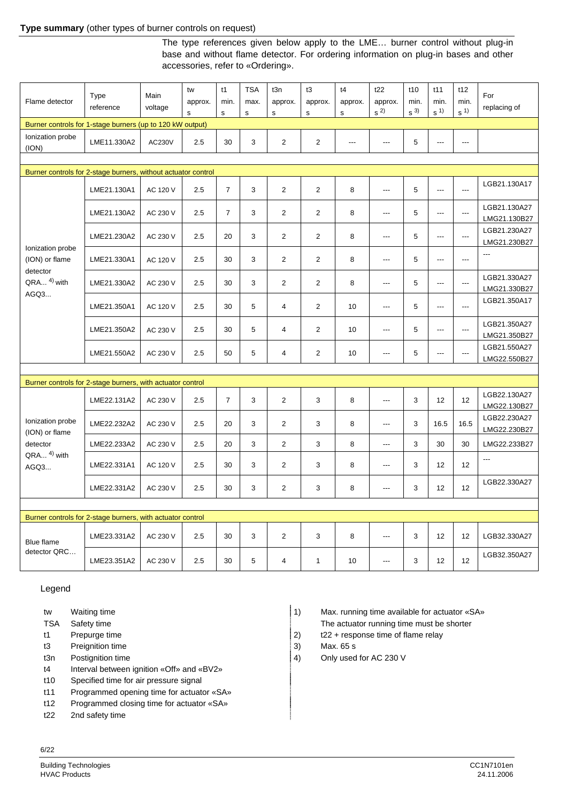#### **Type summary** (other types of burner controls on request)

The type references given below apply to the LME… burner control without plug-in base and without flame detector. For ordering information on plug-in bases and other accessories, refer to «Ordering».

| Flame detector                                                | Type<br>reference | Main<br>voltage | tw<br>approx.<br>$\mathsf{s}$ | t1<br>min.<br>s | <b>TSA</b><br>max.<br>$\mathsf{s}$ | t3n<br>approx.<br>s | t3<br>approx.<br>s | t4<br>approx.<br>$\mathbf s$ | t22<br>approx.<br>$\,$ s $^{2)}$ | t10<br>min.<br>$s^{3}$ | t11<br>min.<br>s <sup>1</sup> | t12<br>min.<br>$\,$ s $^{1)}$ | For<br>replacing of          |
|---------------------------------------------------------------|-------------------|-----------------|-------------------------------|-----------------|------------------------------------|---------------------|--------------------|------------------------------|----------------------------------|------------------------|-------------------------------|-------------------------------|------------------------------|
| Burner controls for 1-stage burners (up to 120 kW output)     |                   |                 |                               |                 |                                    |                     |                    |                              |                                  |                        |                               |                               |                              |
| Ionization probe<br>(ION)                                     | LME11.330A2       | AC230V          | 2.5                           | 30              | 3                                  | $\overline{2}$      | $\overline{2}$     | ---                          | $\overline{a}$                   | 5                      | $\overline{a}$                | $\overline{a}$                |                              |
|                                                               |                   |                 |                               |                 |                                    |                     |                    |                              |                                  |                        |                               |                               |                              |
| Burner controls for 2-stage burners, without actuator control |                   |                 |                               |                 |                                    |                     |                    |                              |                                  |                        |                               |                               |                              |
|                                                               | LME21.130A1       | AC 120 V        | 2.5                           | $\overline{7}$  | 3                                  | $\overline{2}$      | 2                  | 8                            | $\overline{a}$                   | 5                      | $\overline{a}$                | $\overline{a}$                | LGB21.130A17                 |
|                                                               | LME21.130A2       | AC 230 V        | 2.5                           | $\overline{7}$  | 3                                  | $\overline{2}$      | $\overline{2}$     | 8                            | $---$                            | 5                      | $\overline{a}$                | $\overline{a}$                | LGB21.130A27<br>LMG21.130B27 |
|                                                               | LME21.230A2       | AC 230 V        | 2.5                           | 20              | 3                                  | $\overline{2}$      | $\overline{2}$     | 8                            | $---$                            | 5                      | $---$                         | ---                           | LGB21.230A27<br>LMG21.230B27 |
| Ionization probe<br>(ION) or flame                            | LME21.330A1       | AC 120 V        | 2.5                           | 30              | 3                                  | $\overline{2}$      | 2                  | 8                            | $\overline{a}$                   | 5                      | $\overline{a}$                | $\overline{a}$                | ---                          |
| detector<br>$QRA$ <sup>4)</sup> with                          | LME21.330A2       | AC 230 V        | 2.5                           | 30              | 3                                  | $\overline{2}$      | $\overline{2}$     | 8                            | $\overline{a}$                   | 5                      | $\overline{a}$                | $\overline{a}$                | LGB21.330A27<br>LMG21.330B27 |
| AGQ3                                                          | LME21.350A1       | AC 120 V        | 2.5                           | 30              | 5                                  | 4                   | $\overline{2}$     | 10                           | $---$                            | 5                      | $\overline{a}$                | $\overline{a}$                | LGB21.350A17                 |
|                                                               | LME21.350A2       | AC 230 V        | 2.5                           | 30              | 5                                  | 4                   | 2                  | 10                           | ---                              | 5                      | $\overline{\phantom{a}}$      | $\overline{a}$                | LGB21.350A27<br>LMG21.350B27 |
|                                                               | LME21.550A2       | AC 230 V        | 2.5                           | 50              | 5                                  | 4                   | $\overline{2}$     | 10                           | $\overline{a}$                   | 5                      | $\overline{a}$                | $\overline{a}$                | LGB21.550A27<br>LMG22.550B27 |
|                                                               |                   |                 |                               |                 |                                    |                     |                    |                              |                                  |                        |                               |                               |                              |
| Burner controls for 2-stage burners, with actuator control    |                   |                 |                               |                 |                                    |                     |                    |                              |                                  |                        |                               |                               |                              |
|                                                               | LME22.131A2       | AC 230 V        | 2.5                           | $\overline{7}$  | 3                                  | $\overline{2}$      | 3                  | 8                            | $\overline{a}$                   | 3                      | 12                            | 12                            | LGB22.130A27<br>LMG22.130B27 |
| Ionization probe<br>(ION) or flame                            | LME22.232A2       | AC 230 V        | 2.5                           | 20              | 3                                  | $\overline{2}$      | 3                  | 8                            | $\overline{a}$                   | 3                      | 16.5                          | 16.5                          | LGB22.230A27<br>LMG22.230B27 |
| detector<br>QRA <sup>4)</sup> with<br>AGQ3                    | LME22.233A2       | AC 230 V        | 2.5                           | 20              | 3                                  | $\overline{2}$      | 3                  | 8                            | $---$                            | 3                      | 30                            | 30                            | LMG22.233B27                 |
|                                                               | LME22.331A1       | AC 120 V        | 2.5                           | 30              | 3                                  | $\overline{2}$      | 3                  | 8                            | $\overline{a}$                   | 3                      | 12                            | 12                            | ---                          |
|                                                               | LME22.331A2       | AC 230 V        | 2.5                           | 30              | 3                                  | $\overline{2}$      | 3                  | 8                            | ---                              | 3                      | 12                            | 12                            | LGB22.330A27                 |
|                                                               |                   |                 |                               |                 |                                    |                     |                    |                              |                                  |                        |                               |                               |                              |
| Burner controls for 2-stage burners, with actuator control    |                   |                 |                               |                 |                                    |                     |                    |                              |                                  |                        |                               |                               |                              |
| Blue flame                                                    | LME23.331A2       | AC 230 V        | 2.5                           | 30              | 3                                  | $\overline{2}$      | 3                  | 8                            | $\overline{a}$                   | 3                      | 12                            | 12                            | LGB32.330A27                 |
| detector QRC                                                  | LME23.351A2       | AC 230 V        | 2.5                           | 30              | 5                                  | 4                   | $\mathbf{1}$       | 10                           | $\overline{a}$                   | 3                      | 12                            | 12                            | LGB32.350A27                 |

Legend

- 
- 
- 
- t3 Preignition time 3) Max. 65 s
- 
- t4 Interval between ignition «Off» and «BV2»
- t10 Specified time for air pressure signal
- t11 Programmed opening time for actuator «SA»
- t12 Programmed closing time for actuator «SA» t22 2nd safety time
- tw Waiting time 1) Max. running time available for actuator «SA»
- TSA Safety time The actuator running time must be shorter
- t1 Prepurge time  $\vert$  2) t22 + response time of flame relay
	-
- t3n Postignition time **4** and the 4 and the 4 and the 14 and the 14 and the 14 and the 14 and the 14 and the 14 and the 14 and the 14 and the 14 and the 14 and the 14 and the 14 and the 14 and the 14 and the 14 and the 14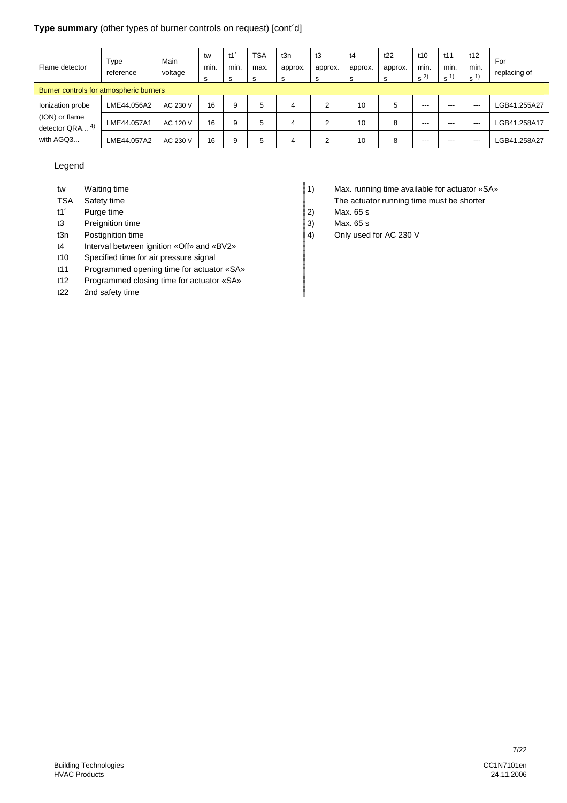### **Type summary** (other types of burner controls on request) [cont´d]

| Flame detector                                     | Type<br>reference | Main<br>voltage | tw<br>min.<br>s | min.<br>s | <b>TSA</b><br>max.<br>-S | t3n<br>approx.<br>s | t3<br>approx.<br>s | t4<br>approx.<br>s | t22<br>approx. | t10<br>min.<br>$s^{2}$ | t11<br>min.<br>s <sup>1</sup> | t12<br>min.<br>$s^{1}$ | For<br>replacing of |
|----------------------------------------------------|-------------------|-----------------|-----------------|-----------|--------------------------|---------------------|--------------------|--------------------|----------------|------------------------|-------------------------------|------------------------|---------------------|
| Burner controls for atmospheric burners            |                   |                 |                 |           |                          |                     |                    |                    |                |                        |                               |                        |                     |
| Ionization probe                                   | LME44.056A2       | AC 230 V        | 16              | 9         | 5                        | 4                   | 2                  | 10                 | 5              | $---$                  | $---$                         | $- - -$                | GB41.255A27-        |
| (ION) or flame<br>-4)<br>detector QRA<br>with AGQ3 | LME44.057A1       | AC 120 V        | 16              | 9         | 5                        | 4                   | $\overline{2}$     | 10                 | 8              | $---$                  | ---                           | $---$                  | LGB41.258A17        |
|                                                    | LME44.057A2       | AC 230 V        | 16              | 9         | 5                        | 4                   | 2                  | 10                 | 8              | ---                    | ---                           | $---$                  | LGB41.258A27        |

#### Legend

- 
- 
- t1<sup>'</sup> Purge time 2) Max. 65 s
- t3 Preignition time 3) Max. 65 s
- 
- t4 Interval between ignition «Off» and «BV2»
- t10 Specified time for air pressure signal
- t11 Programmed opening time for actuator «SA»
- t12 Programmed closing time for actuator «SA»
- t22 2nd safety time
- tw Waiting time 1) Max. running time available for actuator «SA»
- TSA Safety time TSA Safety time
	-
	-
- t3n Postignition time **4** and the 4 and the 14 and the 14 and the 14 and the 14 and the 14 and the 14 and the 14 and the 14 and the 14 and the 14 and the 14 and the 14 and the 14 and the 14 and the 14 and the 14 and the 14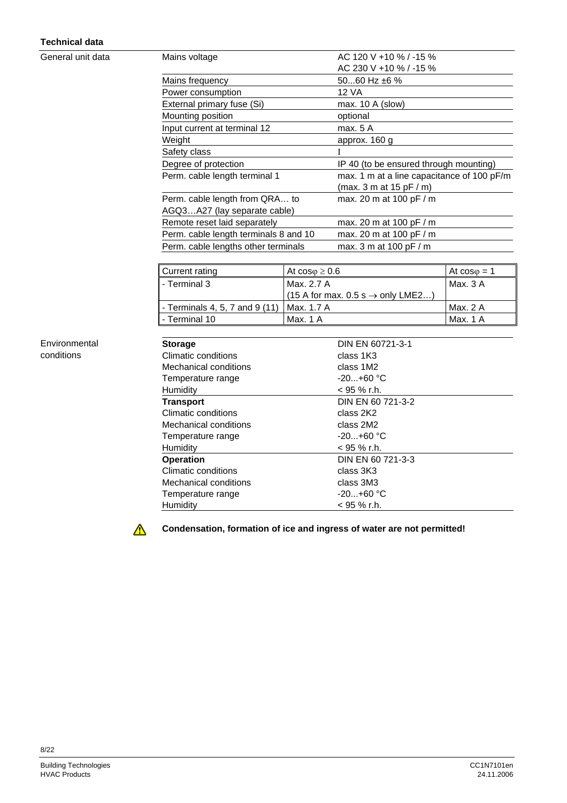## **Technical data**

General unit data

| Mains voltage                         | AC 120 V +10 % / -15 %                     |
|---------------------------------------|--------------------------------------------|
|                                       | AC 230 V +10 % / -15 %                     |
| Mains frequency                       | 5060 Hz $\pm 6$ %                          |
| Power consumption                     | 12 VA                                      |
| External primary fuse (Si)            | max. $10 \text{ A}$ (slow)                 |
| Mounting position                     | optional                                   |
| Input current at terminal 12          | max. 5 A                                   |
| Weight                                | approx. 160 g                              |
| Safety class                          |                                            |
| Degree of protection                  | IP 40 (to be ensured through mounting)     |
| Perm. cable length terminal 1         | max. 1 m at a line capacitance of 100 pF/m |
|                                       | (max. 3 m at 15 pF / m)                    |
| Perm. cable length from QRA to        | max. 20 m at 100 pF / m                    |
| AGQ3A27 (lay separate cable)          |                                            |
| Remote reset laid separately          | max. 20 m at 100 pF / m                    |
| Perm. cable length terminals 8 and 10 | max. 20 m at 100 pF / m                    |
| Perm. cable lengths other terminals   | max. 3 m at 100 pF / m                     |

| Current rating                                | At $cos\varphi \geq 0.6$                                | At $cos\varphi = 1$ |
|-----------------------------------------------|---------------------------------------------------------|---------------------|
| <b>I</b> - Terminal 3                         | Max. 2.7 A                                              | Max. $3A$           |
|                                               | $(15 \text{ A}$ for max. 0.5 s $\rightarrow$ only LME2) |                     |
| l - Terminals 4, 5, 7 and 9 (11)   Max. 1.7 A |                                                         | Max. 2 A            |
| l - Terminal 10                               | Max. 1 A                                                | Max. 1 A            |

#### Environmental conditions

| <b>Storage</b>        | DIN EN 60721-3-1  |
|-----------------------|-------------------|
| Climatic conditions   | class 1K3         |
| Mechanical conditions | class 1M2         |
| Temperature range     | $-20+60$ °C       |
| Humidity              | < 95 % r.h.       |
| <b>Transport</b>      | DIN EN 60 721-3-2 |
| Climatic conditions   | class 2K2         |
| Mechanical conditions | class 2M2         |
| Temperature range     | $-20+60$ °C       |
| Humidity              | $<$ 95 % r.h.     |
| <b>Operation</b>      | DIN EN 60 721-3-3 |
| Climatic conditions   | class 3K3         |
| Mechanical conditions | class 3M3         |
| Temperature range     | $-20+60$ °C       |
| Humidity              | $<$ 95 % r.h.     |

 $\triangle$ 

**Condensation, formation of ice and ingress of water are not permitted!**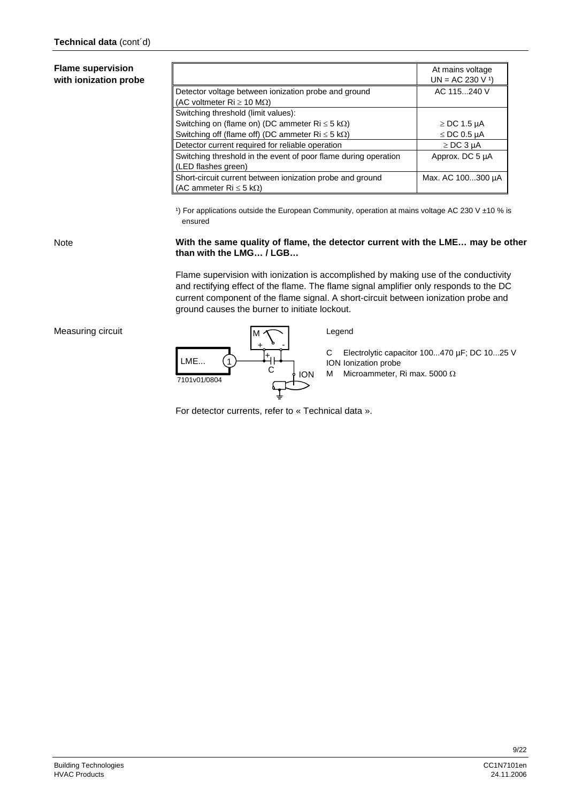#### **Flame supervision with ionization probe**

|                                                                                                               | At mains voltage<br>$UN = AC 230 V1$ |
|---------------------------------------------------------------------------------------------------------------|--------------------------------------|
| Detector voltage between ionization probe and ground<br>(AC voltmeter $\text{Ri} \geq 10 \text{ M}\Omega$ )   | AC 115240 V                          |
| Switching threshold (limit values):                                                                           |                                      |
| Switching on (flame on) (DC ammeter $Ri \leq 5 k\Omega$ )                                                     | $\ge$ DC 1.5 µA                      |
| Switching off (flame off) (DC ammeter $\text{Ri} \leq 5 \text{ k}\Omega$ )                                    | $\le$ DC 0.5 µA                      |
| Detector current required for reliable operation                                                              | $\ge$ DC 3 µA                        |
| Switching threshold in the event of poor flame during operation<br>(LED flashes green)                        | Approx. DC 5 µA                      |
| Short-circuit current between ionization probe and ground<br>(AC ammeter $\text{Ri} \leq 5 \text{ k}\Omega$ ) | Max. AC 100300 µA                    |

1) For applications outside the European Community, operation at mains voltage AC 230 V  $\pm$ 10 % is ensured

Note

#### **With the same quality of flame, the detector current with the LME… may be other than with the LMG… / LGB…**

Flame supervision with ionization is accomplished by making use of the conductivity and rectifying effect of the flame. The flame signal amplifier only responds to the DC current component of the flame signal. A short-circuit between ionization probe and ground causes the burner to initiate lockout.





For detector currents, refer to « Technical data ».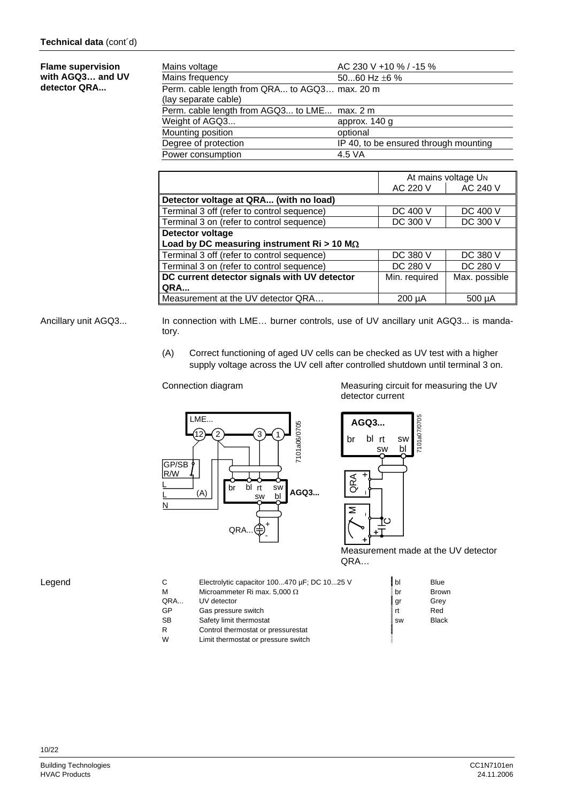#### Mains voltage  $AC 230 V + 10 % / -15 %$ Mains frequency 50...60 Hz  $\pm 6 \%$ Perm. cable length from QRA... to AGQ3… max. 20 m (lay separate cable) Perm. cable length from AGQ3... to LME... max. 2 m Weight of AGQ3... approx. 140 g Mounting position optional<br>Degree of protection IP 40, to  $\overline{IP}$  40, to be ensured through mounting 4.5 VA Power consumption **Flame supervision with AGQ3… and UV detector QRA...**

|                                                    | At mains voltage UN |                 |  |
|----------------------------------------------------|---------------------|-----------------|--|
|                                                    | AC 220 V            | AC 240 V        |  |
| Detector voltage at QRA (with no load)             |                     |                 |  |
| Terminal 3 off (refer to control sequence)         | DC 400 V            | DC 400 V        |  |
| Terminal 3 on (refer to control sequence)          | DC 300 V            | <b>DC 300 V</b> |  |
| Detector voltage                                   |                     |                 |  |
| Load by DC measuring instrument Ri > 10 M $\Omega$ |                     |                 |  |
| Terminal 3 off (refer to control sequence)         | DC 380 V            | DC 380 V        |  |
| Terminal 3 on (refer to control sequence)          | DC 280 V            | DC 280 V        |  |
| DC current detector signals with UV detector       | Min. required       | Max. possible   |  |
| ∥ QRA…                                             |                     |                 |  |
| Measurement at the UV detector QRA                 | $200 \mu A$         | $500 \mu A$     |  |

#### In connection with LME… burner controls, use of UV ancillary unit AGQ3... is mandatory. Ancillary unit AGQ3...

(A) Correct functioning of aged UV cells can be checked as UV test with a higher supply voltage across the UV cell after controlled shutdown until terminal 3 on.

Connection diagram Measuring circuit for measuring the UV detector current



7101a07/0705 7101a07/0705 **AGQ3...** br bl rt sw sw QRA Σ

 Measurement made at the UV detector QRA…

| С   | Electrolytic capacitor 100470 µF; DC 1025 V | bl        | <b>Blue</b>  |
|-----|---------------------------------------------|-----------|--------------|
| М   | Microammeter Ri max. 5,000 $\Omega$         | br        | <b>Brown</b> |
| QRA | UV detector                                 | , gr      | Grey         |
| GP  | Gas pressure switch                         | rt        | Red          |
| SB. | Safety limit thermostat                     | <b>SW</b> | <b>Black</b> |
| R   | Control thermostat or pressurestat          |           |              |
| W   | Limit thermostat or pressure switch         |           |              |

Legend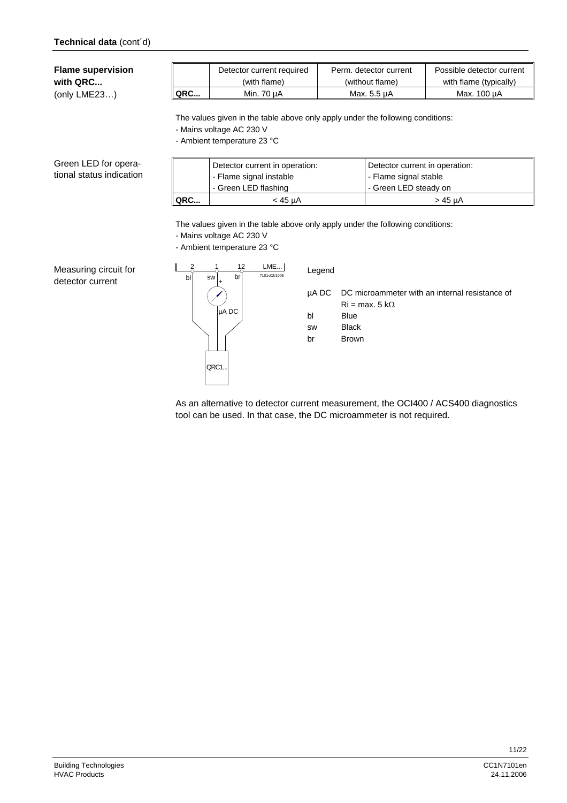**Flame supervision with QRC...** 

(only LME23…)

|         | Detector current required | Perm. detector current | Possible detector current |
|---------|---------------------------|------------------------|---------------------------|
|         | (with flame)              | (without flame)        | with flame (typically)    |
| $ $ QRC | Min. 70 µA                | Max. 5.5 µA            | Max. 100 µA               |

The values given in the table above only apply under the following conditions:

- Mains voltage AC 230 V

- Ambient temperature 23 °C

Green LED for operational status indication

|            | Detector current in operation: | Detector current in operation: |  |
|------------|--------------------------------|--------------------------------|--|
|            | - Flame signal instable        | - Flame signal stable          |  |
|            | - Green LED flashing           | - Green LED steady on          |  |
| <b>QRC</b> | < 45 uA                        | > 45 uA                        |  |
|            |                                |                                |  |

The values given in the table above only apply under the following conditions:

- Mains voltage AC 230 V

- Ambient temperature 23 °C





## µA DC DC microammeter with an internal resistance of  $Ri = max. 5 k\Omega$

bl Blue

sw Black

br Brown

As an alternative to detector current measurement, the OCI400 / ACS400 diagnostics tool can be used. In that case, the DC microammeter is not required.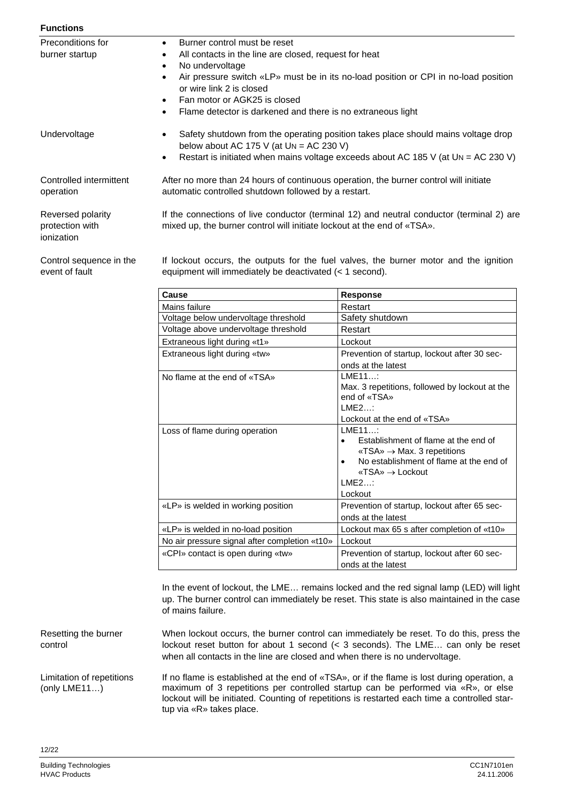| Functions |
|-----------|
|           |

| <b>Functions</b>                                   |                                                                                                                                                                                                                                                                                                                                                                                     |
|----------------------------------------------------|-------------------------------------------------------------------------------------------------------------------------------------------------------------------------------------------------------------------------------------------------------------------------------------------------------------------------------------------------------------------------------------|
| Preconditions for<br>burner startup                | Burner control must be reset<br>$\bullet$<br>All contacts in the line are closed, request for heat<br>$\bullet$<br>No undervoltage<br>Air pressure switch «LP» must be in its no-load position or CPI in no-load position<br>$\bullet$<br>or wire link 2 is closed<br>Fan motor or AGK25 is closed<br>$\bullet$<br>Flame detector is darkened and there is no extraneous light<br>٠ |
| Undervoltage                                       | Safety shutdown from the operating position takes place should mains voltage drop<br>below about AC 175 V (at $Un = AC 230 V$ )<br>Restart is initiated when mains voltage exceeds about AC 185 V (at $Un = AC 230 V$ )<br>٠                                                                                                                                                        |
| Controlled intermittent<br>operation               | After no more than 24 hours of continuous operation, the burner control will initiate<br>automatic controlled shutdown followed by a restart.                                                                                                                                                                                                                                       |
| Reversed polarity<br>protection with<br>ionization | If the connections of live conductor (terminal 12) and neutral conductor (terminal 2) are<br>mixed up, the burner control will initiate lockout at the end of «TSA».                                                                                                                                                                                                                |
| Control sequence in the<br>event of fault          | If lockout occurs, the outputs for the fuel valves, the burner motor and the ignition<br>equipment will immediately be deactivated $(< 1$ second).                                                                                                                                                                                                                                  |

| Cause                                         | Response                                                                                                                                                                                                                   |
|-----------------------------------------------|----------------------------------------------------------------------------------------------------------------------------------------------------------------------------------------------------------------------------|
| Mains failure                                 | Restart                                                                                                                                                                                                                    |
| Voltage below undervoltage threshold          | Safety shutdown                                                                                                                                                                                                            |
| Voltage above undervoltage threshold          | Restart                                                                                                                                                                                                                    |
| Extraneous light during «t1»                  | Lockout                                                                                                                                                                                                                    |
| Extraneous light during «tw»                  | Prevention of startup, lockout after 30 sec-                                                                                                                                                                               |
|                                               | onds at the latest                                                                                                                                                                                                         |
| No flame at the end of «TSA»                  | LME11<br>Max. 3 repetitions, followed by lockout at the<br>end of «TSA»<br>IME2<br>Lockout at the end of «TSA»                                                                                                             |
| Loss of flame during operation                | LME11<br>Establishment of flame at the end of<br>$\langle$ TSA» $\rightarrow$ Max. 3 repetitions<br>No establishment of flame at the end of<br>$\bullet$<br>$\overline{\text{MSA}} \rightarrow$ Lockout<br>LME2<br>Lockout |
| «LP» is welded in working position            | Prevention of startup, lockout after 65 sec-<br>onds at the latest                                                                                                                                                         |
| «LP» is welded in no-load position            | Lockout max 65 s after completion of «t10»                                                                                                                                                                                 |
| No air pressure signal after completion «t10» | Lockout                                                                                                                                                                                                                    |
| «CPI» contact is open during «tw»             | Prevention of startup, lockout after 60 sec-<br>onds at the latest                                                                                                                                                         |

In the event of lockout, the LME... remains locked and the red signal lamp (LED) will light up. The burner control can immediately be reset. This state is also maintained in the case of mains failure.

When lockout occurs, the burner control can immediately be reset. To do this, press the lockout reset button for about 1 second (< 3 seconds). The LME… can only be reset when all contacts in the line are closed and when there is no undervoltage. Resetting the burner

If no flame is established at the end of «TSA», or if the flame is lost during operation, a maximum of 3 repetitions per controlled startup can be performed via «R», or else lockout will be initiated. Counting of repetitions is restarted each time a controlled startup via «R» takes place. Limitation of repetitions

control

(only LME11…)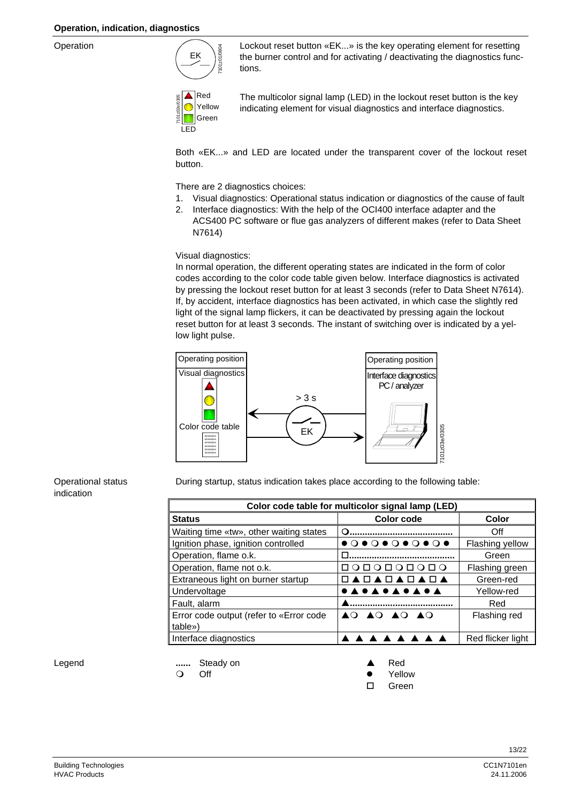Operation



Lockout reset button «EK...» is the key operating element for resetting the burner control and for activating / deactivating the diagnostics functions.



The multicolor signal lamp (LED) in the lockout reset button is the key indicating element for visual diagnostics and interface diagnostics.

Both «EK...» and LED are located under the transparent cover of the lockout reset button.

There are 2 diagnostics choices:

- 1. Visual diagnostics: Operational status indication or diagnostics of the cause of fault
- 2. Interface diagnostics: With the help of the OCI400 interface adapter and the ACS400 PC software or flue gas analyzers of different makes (refer to Data Sheet N7614)

Visual diagnostics:

In normal operation, the different operating states are indicated in the form of color codes according to the color code table given below. Interface diagnostics is activated by pressing the lockout reset button for at least 3 seconds (refer to Data Sheet N7614). If, by accident, interface diagnostics has been activated, in which case the slightly red light of the signal lamp flickers, it can be deactivated by pressing again the lockout reset button for at least 3 seconds. The instant of switching over is indicated by a yellow light pulse.



During startup, status indication takes place according to the following table:

| Color code table for multicolor signal lamp (LED) |                                                             |                   |  |
|---------------------------------------------------|-------------------------------------------------------------|-------------------|--|
| <b>Status</b>                                     | <b>Color code</b>                                           | Color             |  |
| Waiting time «tw», other waiting states           |                                                             | Off               |  |
| Ignition phase, ignition controlled               | $\bullet$ 0 $\bullet$ 0 $\bullet$ 0 $\bullet$ 0 $\bullet$ 0 | Flashing yellow   |  |
| Operation, flame o.k.                             |                                                             | Green             |  |
| Operation, flame not o.k.                         | O O O O O O O O                                             | Flashing green    |  |
| Extraneous light on burner startup                | <b>\□▲□▲□▲□▲</b>                                            | Green-red         |  |
| Undervoltage                                      | ●▲●▲●▲●▲●▲                                                  | Yellow-red        |  |
| Fault, alarm                                      |                                                             | Red               |  |
| Error code output (refer to «Error code           | AO AO AO AO                                                 | Flashing red      |  |
| table»)                                           |                                                             |                   |  |
| Interface diagnostics                             |                                                             | Red flicker light |  |

Legend

Operational status

indication

**......** Steady on **A** Red

- 
- O Off **Calculation Contract Contract Contract Contract Contract Contract Contract Contract Contract Contract Contract Contract Contract Contract Contract Contract Contract Contract Contract Contract Contract Contract Contr**
- Green in the Contract of Contract of Contract of Contract of Contract of Contract of Contract of Contract of Co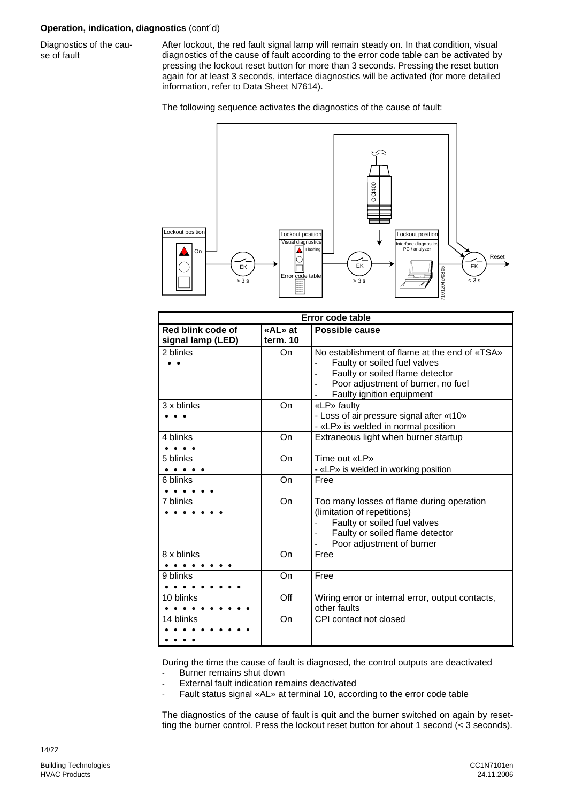Diagnostics of the cause of fault

After lockout, the red fault signal lamp will remain steady on. In that condition, visual diagnostics of the cause of fault according to the error code table can be activated by pressing the lockout reset button for more than 3 seconds. Pressing the reset button again for at least 3 seconds, interface diagnostics will be activated (for more detailed information, refer to Data Sheet N7614).

The following sequence activates the diagnostics of the cause of fault:



| Error code table  |          |                                                                                                                                                                                     |  |  |
|-------------------|----------|-------------------------------------------------------------------------------------------------------------------------------------------------------------------------------------|--|--|
| Red blink code of | «AL» at  | Possible cause                                                                                                                                                                      |  |  |
| signal lamp (LED) | term. 10 |                                                                                                                                                                                     |  |  |
| 2 blinks          | On       | No establishment of flame at the end of «TSA»<br>Faulty or soiled fuel valves<br>Faulty or soiled flame detector<br>Poor adjustment of burner, no fuel<br>Faulty ignition equipment |  |  |
| 3 x blinks        | On       | «LP» faulty<br>- Loss of air pressure signal after «t10»<br>- «LP» is welded in normal position                                                                                     |  |  |
| 4 blinks          | On       | Extraneous light when burner startup                                                                                                                                                |  |  |
| 5 blinks          | On       | Time out «LP»<br>- «LP» is welded in working position                                                                                                                               |  |  |
| 6 blinks          | On       | Free                                                                                                                                                                                |  |  |
| 7 blinks          | On       | Too many losses of flame during operation<br>(limitation of repetitions)<br>Faulty or soiled fuel valves<br>Faulty or soiled flame detector<br>Poor adjustment of burner            |  |  |
| 8 x blinks        | On       | Free                                                                                                                                                                                |  |  |
| 9 blinks          | On       | Free                                                                                                                                                                                |  |  |
| 10 blinks         | Off      | Wiring error or internal error, output contacts,<br>other faults                                                                                                                    |  |  |
| 14 blinks         | On       | CPI contact not closed                                                                                                                                                              |  |  |

During the time the cause of fault is diagnosed, the control outputs are deactivated

Burner remains shut down

- External fault indication remains deactivated
- Fault status signal «AL» at terminal 10, according to the error code table

The diagnostics of the cause of fault is quit and the burner switched on again by resetting the burner control. Press the lockout reset button for about 1 second (< 3 seconds).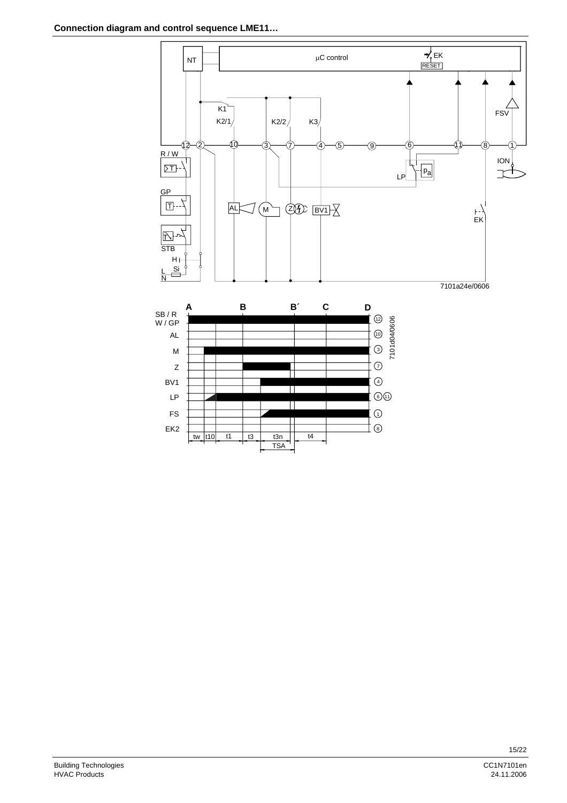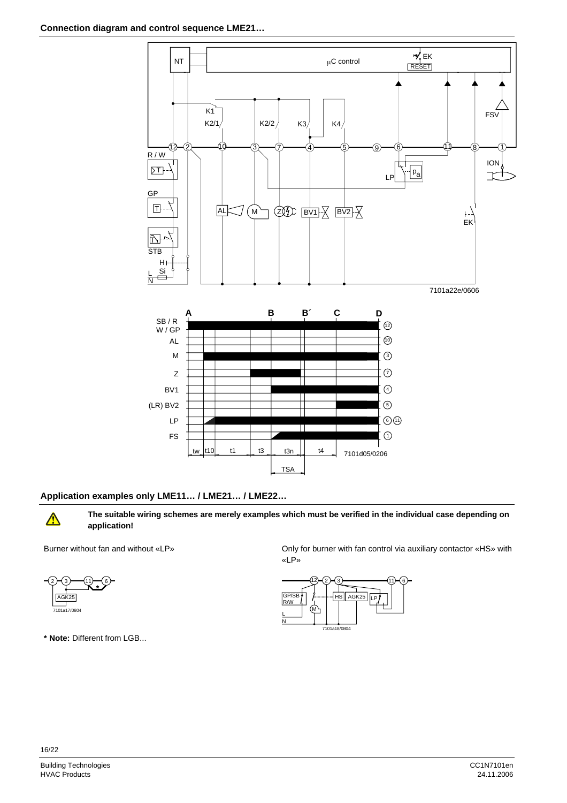

#### **Application examples only LME11… / LME21… / LME22…**

 $\bigwedge$ 

**The suitable wiring schemes are merely examples which must be verified in the individual case depending on application!** 



**\* Note:** Different from LGB...

Burner without fan and without «LP» Only for burner with fan control via auxiliary contactor «HS» with «LP»

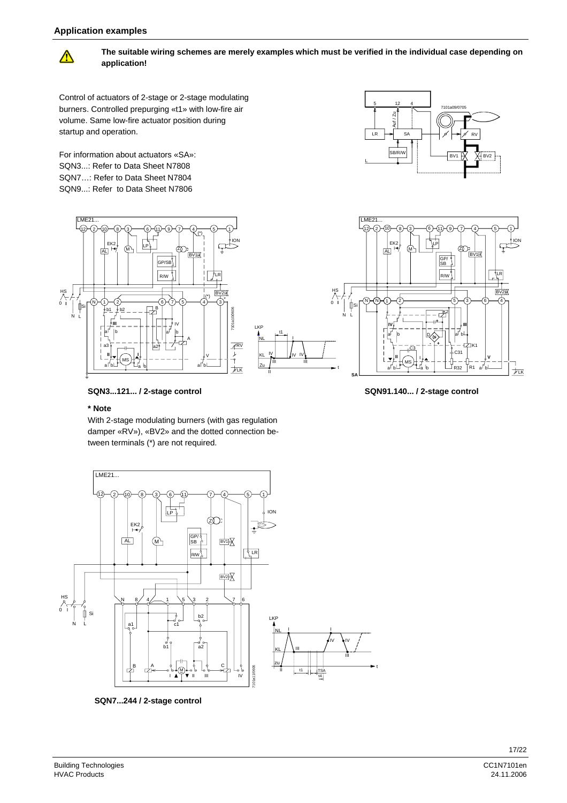#### **Application examples**



**The suitable wiring schemes are merely examples which must be verified in the individual case depending on application!** 

Control of actuators of 2-stage or 2-stage modulating burners. Controlled prepurging «t1» with low-fire air volume. Same low-fire actuator position during startup and operation.

For information about actuators «SA»: SQN3...: Refer to Data Sheet N7808 SQN7…: Refer to Data Sheet N7804 SQN9...: Refer to Data Sheet N7806







**SQN91.140... / 2-stage control** 

**SQN3...121... / 2-stage control** 

#### **\* Note**

With 2-stage modulating burners (with gas regulation damper «RV»), «BV2» and the dotted connection between terminals (\*) are not required.



II KL zu / "

IV

t1

IV III IV I

LKP NL

**SQN7...244 / 2-stage control**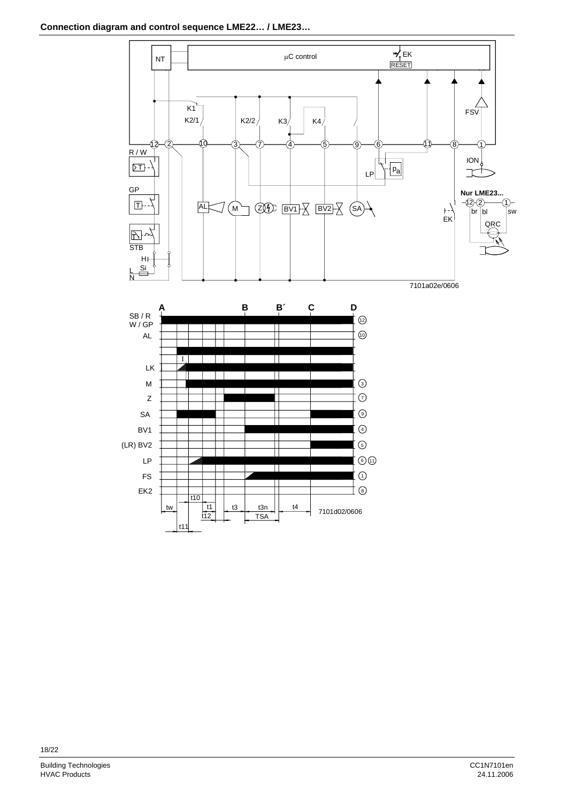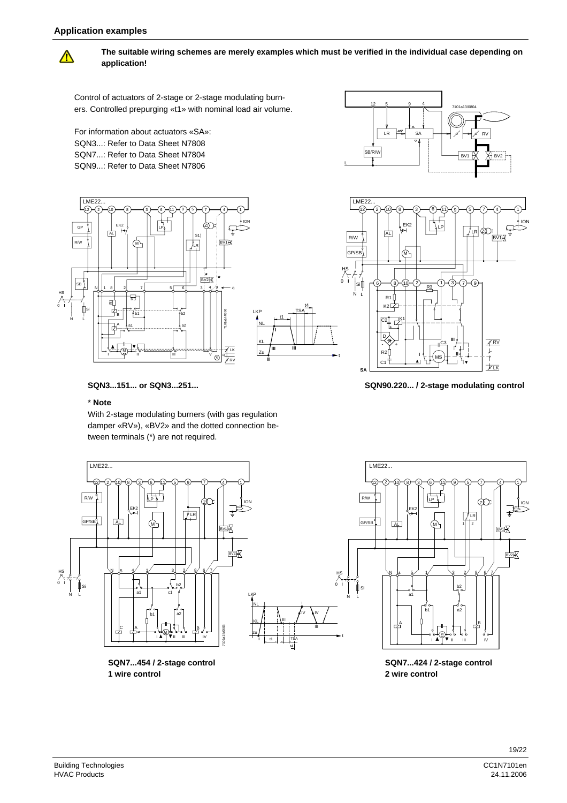

**The suitable wiring schemes are merely examples which must be verified in the individual case depending on application!** 

HS

t

t1

**I**

**II**

**III**

t4 TSA

III

IV IV

III

t4

Control of actuators of 2-stage or 2-stage modulating burners. Controlled prepurging «t1» with nominal load air volume.

For information about actuators «SA»: SQN3...: Refer to Data Sheet N7808 SQN7...: Refer to Data Sheet N7804 SQN9...: Refer to Data Sheet N7806





GP/SB (M) 0 **I** 6)—(8)—(10)—(2)—\_\_\_\_—(1)—(3)—(7)—(9 Si  $R<sup>3</sup>$ N L R1 к2 $\not\vdash$  $C2$   $-K1$ + D  $A$ RV C3 **III** - + نز R<sub>2</sub> **II <sup>I</sup>** MS C1  $\overline{\phantom{a}}$ 

#### **SQN3...151... or SQN3...251...**

#### \* **Note**

With 2-stage modulating burners (with gas regulation damper «RV»), «BV2» and the dotted connection between terminals (\*) are not required.



**SQN7...454 / 2-stage control 1 wire control**



**SA**  $\frac{1}{\sqrt{2\pi}}$ 



**SQN7...424 / 2-stage control 2 wire control**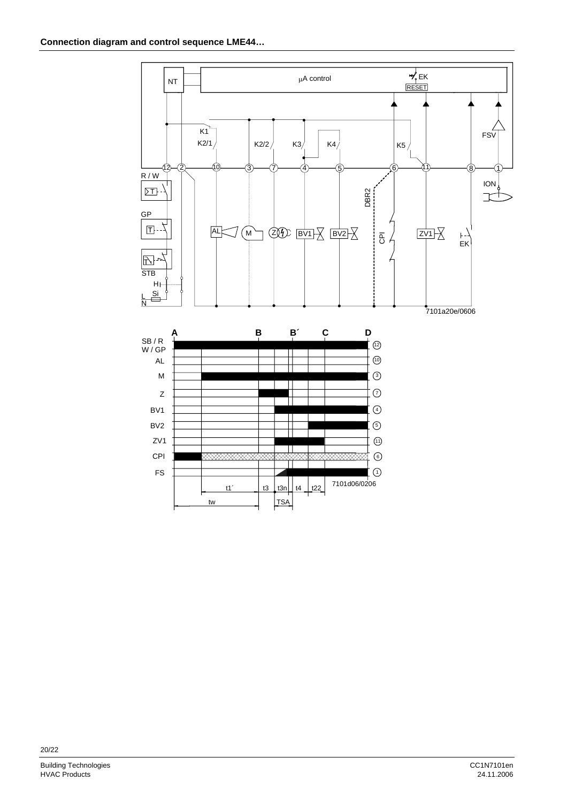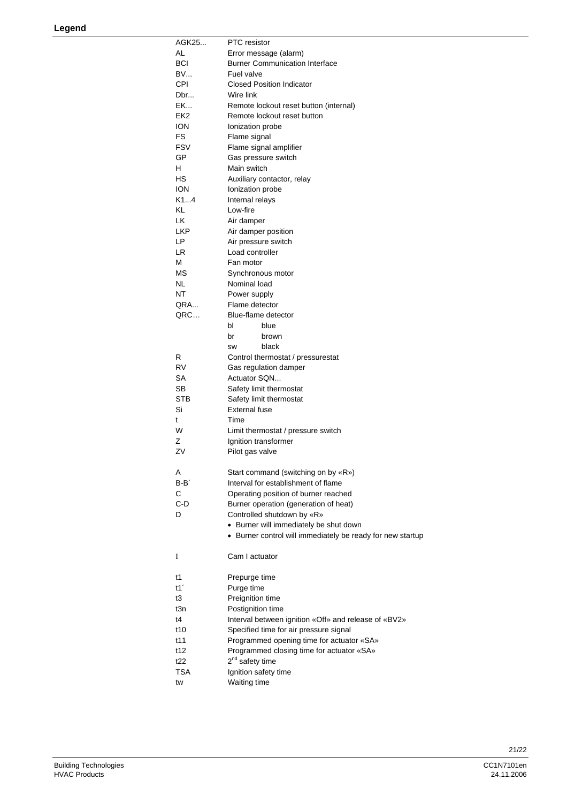| AGK25           | <b>PTC</b> resistor                                        |
|-----------------|------------------------------------------------------------|
| AL              | Error message (alarm)                                      |
| <b>BCI</b>      | <b>Burner Communication Interface</b>                      |
| <b>BV</b>       | Fuel valve                                                 |
| <b>CPI</b>      | <b>Closed Position Indicator</b>                           |
| Dbr             | Wire link                                                  |
| EK              | Remote lockout reset button (internal)                     |
| EK <sub>2</sub> | Remote lockout reset button                                |
| <b>ION</b>      | Ionization probe                                           |
| FS              | Flame signal                                               |
| <b>FSV</b>      | Flame signal amplifier                                     |
| GP              | Gas pressure switch                                        |
| H.              | Main switch                                                |
| НS              | Auxiliary contactor, relay                                 |
| <b>ION</b>      | Ionization probe                                           |
| K14             | Internal relays                                            |
| KL              | Low-fire                                                   |
| LK              | Air damper                                                 |
| <b>LKP</b>      | Air damper position                                        |
| LP              | Air pressure switch                                        |
| LR.             | Load controller                                            |
| м               | Fan motor                                                  |
| МS              |                                                            |
| NL              | Synchronous motor<br>Nominal load                          |
|                 |                                                            |
| NT              | Power supply                                               |
| QRA             | Flame detector                                             |
| QRC             | Blue-flame detector                                        |
|                 | bl<br>blue                                                 |
|                 | br<br>brown                                                |
|                 | black<br>SW                                                |
| R               | Control thermostat / pressurestat                          |
| RV              | Gas regulation damper                                      |
| SA              | Actuator SQN                                               |
| SВ              | Safety limit thermostat                                    |
| <b>STB</b>      | Safety limit thermostat                                    |
| Si              | <b>External fuse</b>                                       |
| t               | Time                                                       |
| W               | Limit thermostat / pressure switch                         |
| z               | Ignition transformer                                       |
| ZV              | Pilot gas valve                                            |
|                 |                                                            |
| Α               | Start command (switching on by «R»)                        |
| $B - B'$        | Interval for establishment of flame                        |
| С               | Operating position of burner reached                       |
| C-D             | Burner operation (generation of heat)                      |
| D               | Controlled shutdown by «R»                                 |
|                 | • Burner will immediately be shut down                     |
|                 | • Burner control will immediately be ready for new startup |
|                 |                                                            |
| I               | Cam I actuator                                             |
|                 |                                                            |
| t1              | Prepurge time                                              |
| t1'             | Purge time                                                 |
| t3              | Preignition time                                           |
| t3n             | Postignition time                                          |
| t4              | Interval between ignition «Off» and release of «BV2»       |
| t10             | Specified time for air pressure signal                     |
|                 |                                                            |
| t11             | Programmed opening time for actuator «SA»                  |
| t12             | Programmed closing time for actuator «SA»                  |
| t22             | 2 <sup>nd</sup> safety time                                |
| TSA             | Ignition safety time                                       |
| tw              | Waiting time                                               |